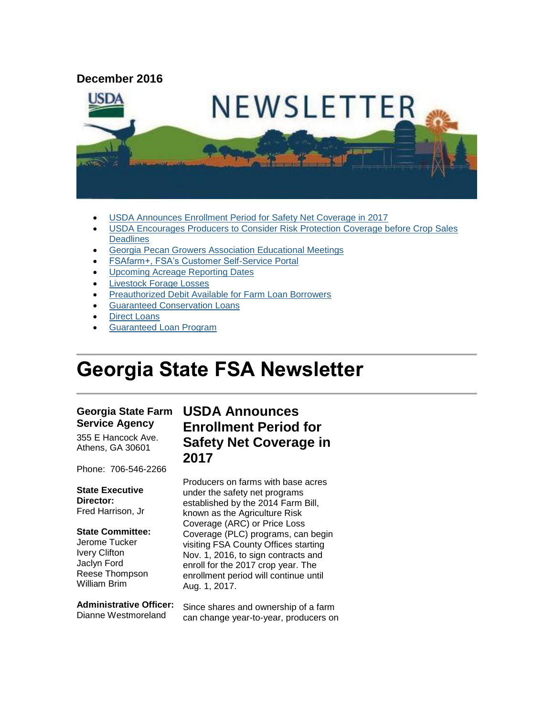#### **December 2016**



- [USDA Announces Enrollment Period for Safety Net Coverage in 2017](#page-0-0)
- [USDA Encourages Producers to Consider Risk Protection Coverage before Crop Sales](#page-1-0)  **[Deadlines](#page-1-0)**
- [Georgia Pecan Growers Association Educational Meetings](#page-2-0)
- [FSAfarm+, FSA's Customer Self-Service Portal](#page-3-0)
- [Upcoming Acreage Reporting Dates](#page-3-1)
- [Livestock Forage Losses](#page-4-0)
- [Preauthorized Debit Available for Farm Loan Borrowers](#page-4-1)
- [Guaranteed Conservation Loans](#page-5-0)
- Direct [Loans](#page-5-1)
- [Guaranteed Loan Program](#page-6-0)

# **Georgia State FSA Newsletter**

#### **Georgia State Farm Service Agency**

355 E Hancock Ave. Athens, GA 30601

Phone: 706-546-2266

#### **State Executive Director:**

Fred Harrison, Jr

#### **State Committee:**

Jerome Tucker Ivery Clifton Jaclyn Ford Reese Thompson William Brim

**Administrative Officer:** Dianne Westmoreland

## <span id="page-0-0"></span>**USDA Announces Enrollment Period for Safety Net Coverage in 2017**

Producers on farms with base acres under the safety net programs established by the 2014 Farm Bill, known as the Agriculture Risk Coverage (ARC) or Price Loss Coverage (PLC) programs, can begin visiting FSA County Offices starting Nov. 1, 2016, to sign contracts and enroll for the 2017 crop year. The enrollment period will continue until Aug. 1, 2017.

Since shares and ownership of a farm can change year-to-year, producers on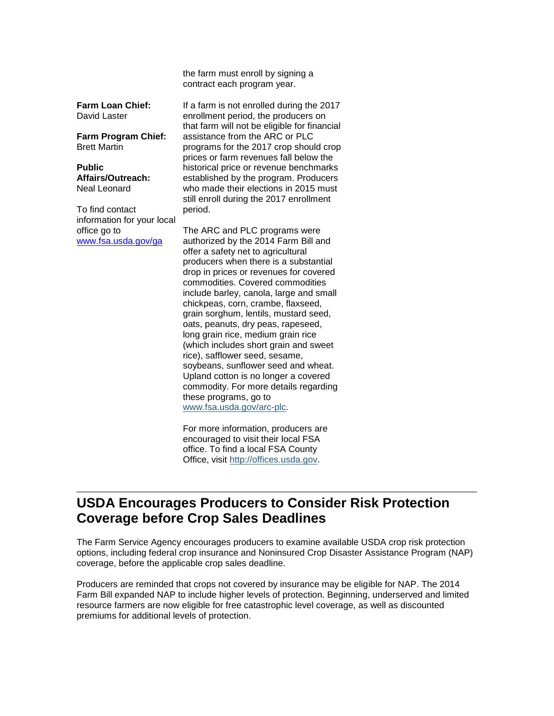the farm must enroll by signing a contract each program year.

**Farm Loan Chief:** David Laster

**Farm Program Chief:** Brett Martin

**Public Affairs/Outreach:** Neal Leonard

To find contact information for your local office go to [www.fsa.usda.gov/ga](http://www.fsa.usda.gov/ga)

If a farm is not enrolled during the 2017 enrollment period, the producers on that farm will not be eligible for financial assistance from the ARC or PLC programs for the 2017 crop should crop prices or farm revenues fall below the historical price or revenue benchmarks established by the program. Producers who made their elections in 2015 must still enroll during the 2017 enrollment period.

The ARC and PLC programs were authorized by the 2014 Farm Bill and offer a safety net to agricultural producers when there is a substantial drop in prices or revenues for covered commodities. Covered commodities include barley, canola, large and small chickpeas, corn, crambe, flaxseed, grain sorghum, lentils, mustard seed, oats, peanuts, dry peas, rapeseed, long grain rice, medium grain rice (which includes short grain and sweet rice), safflower seed, sesame, soybeans, sunflower seed and wheat. Upland cotton is no longer a covered commodity. For more details regarding these programs, go to [www.fsa.usda.gov/arc-plc.](http://www.fsa.usda.gov/arc-plc)

For more information, producers are encouraged to visit their local FSA office. To find a local FSA County Office, visit [http://offices.usda.gov.](http://offices.usda.gov/)

#### <span id="page-1-0"></span>**USDA Encourages Producers to Consider Risk Protection Coverage before Crop Sales Deadlines**

The Farm Service Agency encourages producers to examine available USDA crop risk protection options, including federal crop insurance and Noninsured Crop Disaster Assistance Program (NAP) coverage, before the applicable crop sales deadline.

Producers are reminded that crops not covered by insurance may be eligible for NAP. The 2014 Farm Bill expanded NAP to include higher levels of protection. Beginning, underserved and limited resource farmers are now eligible for free catastrophic level coverage, as well as discounted premiums for additional levels of protection.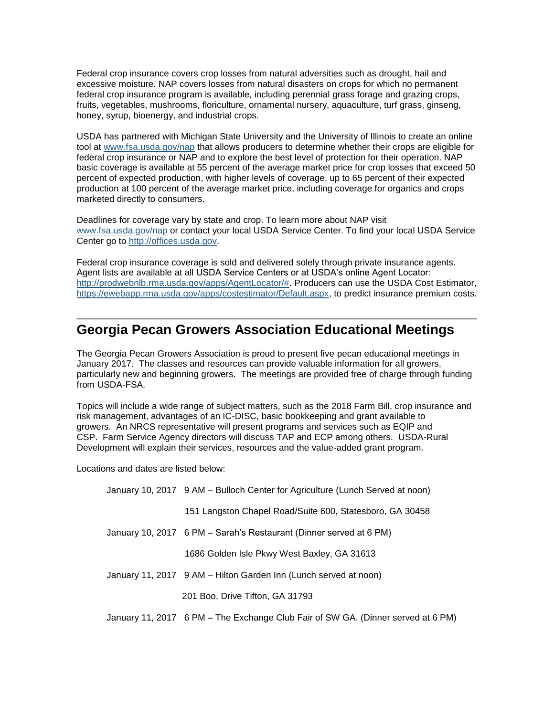Federal crop insurance covers crop losses from natural adversities such as drought, hail and excessive moisture. NAP covers losses from natural disasters on crops for which no permanent federal crop insurance program is available, including perennial grass forage and grazing crops, fruits, vegetables, mushrooms, floriculture, ornamental nursery, aquaculture, turf grass, ginseng, honey, syrup, bioenergy, and industrial crops.

USDA has partnered with Michigan State University and the University of Illinois to create an online tool at [www.fsa.usda.gov/nap](http://www.fsa.usda.gov/nap) that allows producers to determine whether their crops are eligible for federal crop insurance or NAP and to explore the best level of protection for their operation. NAP basic coverage is available at 55 percent of the average market price for crop losses that exceed 50 percent of expected production, with higher levels of coverage, up to 65 percent of their expected production at 100 percent of the average market price, including coverage for organics and crops marketed directly to consumers.

Deadlines for coverage vary by state and crop. To learn more about NAP visit [www.fsa.usda.gov/nap](http://www.fsa.usda.gov/nap) or contact your local USDA Service Center. To find your local USDA Service Center go to [http://offices.usda.gov.](http://offices.usda.gov/)

Federal crop insurance coverage is sold and delivered solely through private insurance agents. Agent lists are available at all USDA Service Centers or at USDA's online Agent Locator: [http://prodwebnlb.rma.usda.gov/apps/AgentLocator/#.](http://prodwebnlb.rma.usda.gov/apps/AgentLocator/) Producers can use the USDA Cost Estimator, [https://ewebapp.rma.usda.gov/apps/costestimator/Default.aspx,](https://ewebapp.rma.usda.gov/apps/costestimator/Default.aspx) to predict insurance premium costs.

#### <span id="page-2-0"></span>**Georgia Pecan Growers Association Educational Meetings**

The Georgia Pecan Growers Association is proud to present five pecan educational meetings in January 2017. The classes and resources can provide valuable information for all growers, particularly new and beginning growers. The meetings are provided free of charge through funding from USDA-FSA.

Topics will include a wide range of subject matters, such as the 2018 Farm Bill, crop insurance and risk management, advantages of an IC-DISC, basic bookkeeping and grant available to growers. An NRCS representative will present programs and services such as EQIP and CSP. Farm Service Agency directors will discuss TAP and ECP among others. USDA-Rural Development will explain their services, resources and the value-added grant program.

Locations and dates are listed below:

| January 10, 2017 9 AM – Bulloch Center for Agriculture (Lunch Served at noon) |
|-------------------------------------------------------------------------------|
|                                                                               |

- 151 Langston Chapel Road/Suite 600, Statesboro, GA 30458
- January 10, 2017 6 PM Sarah's Restaurant (Dinner served at 6 PM)

1686 Golden Isle Pkwy West Baxley, GA 31613

January 11, 2017 9 AM – Hilton Garden Inn (Lunch served at noon)

201 Boo, Drive Tifton, GA 31793

January 11, 2017 6 PM – The Exchange Club Fair of SW GA. (Dinner served at 6 PM)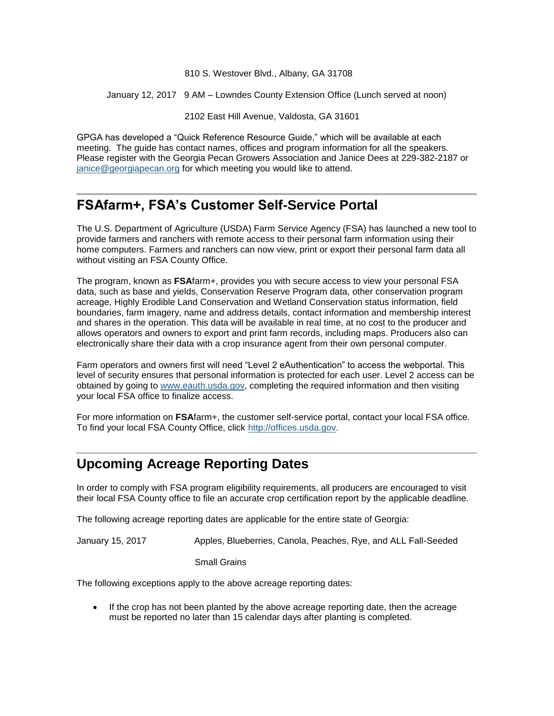810 S. Westover Blvd., Albany, GA 31708

January 12, 2017 9 AM – Lowndes County Extension Office (Lunch served at noon)

2102 East Hill Avenue, Valdosta, GA 31601

GPGA has developed a "Quick Reference Resource Guide," which will be available at each meeting. The guide has contact names, offices and program information for all the speakers. Please register with the Georgia Pecan Growers Association and Janice Dees at 229-382-2187 or [janice@georgiapecan.org](mailto:janice@georgiapecan.org) for which meeting you would like to attend.

## <span id="page-3-0"></span>**FSAfarm+, FSA's Customer Self-Service Portal**

The U.S. Department of Agriculture (USDA) Farm Service Agency (FSA) has launched a new tool to provide farmers and ranchers with remote access to their personal farm information using their home computers. Farmers and ranchers can now view, print or export their personal farm data all without visiting an FSA County Office.

The program, known as **FSA**farm+, provides you with secure access to view your personal FSA data, such as base and yields, Conservation Reserve Program data, other conservation program acreage, Highly Erodible Land Conservation and Wetland Conservation status information, field boundaries, farm imagery, name and address details, contact information and membership interest and shares in the operation. This data will be available in real time, at no cost to the producer and allows operators and owners to export and print farm records, including maps. Producers also can electronically share their data with a crop insurance agent from their own personal computer.

Farm operators and owners first will need "Level 2 eAuthentication" to access the webportal. This level of security ensures that personal information is protected for each user. Level 2 access can be obtained by going to [www.eauth.usda.gov,](http://www.eauth.usda.gov/) completing the required information and then visiting your local FSA office to finalize access.

For more information on **FSA**farm+, the customer self-service portal, contact your local FSA office. To find your local FSA County Office, click [http://offices.usda.gov.](http://offices.usda.gov/)

## <span id="page-3-1"></span>**Upcoming Acreage Reporting Dates**

In order to comply with FSA program eligibility requirements, all producers are encouraged to visit their local FSA County office to file an accurate crop certification report by the applicable deadline.

The following acreage reporting dates are applicable for the entire state of Georgia:

January 15, 2017 Apples, Blueberries, Canola, Peaches, Rye, and ALL Fall-Seeded

Small Grains

The following exceptions apply to the above acreage reporting dates:

• If the crop has not been planted by the above acreage reporting date, then the acreage must be reported no later than 15 calendar days after planting is completed.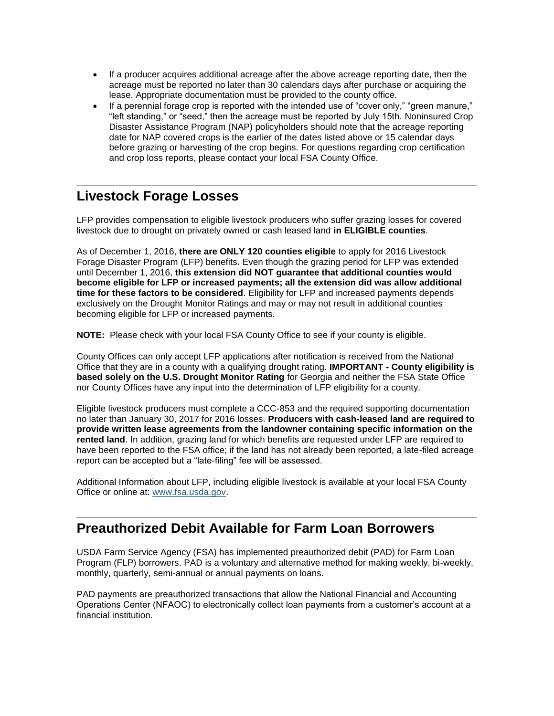- If a producer acquires additional acreage after the above acreage reporting date, then the acreage must be reported no later than 30 calendars days after purchase or acquiring the lease. Appropriate documentation must be provided to the county office.
- If a perennial forage crop is reported with the intended use of "cover only," "green manure," "left standing," or "seed," then the acreage must be reported by July 15th. Noninsured Crop Disaster Assistance Program (NAP) policyholders should note that the acreage reporting date for NAP covered crops is the earlier of the dates listed above or 15 calendar days before grazing or harvesting of the crop begins. For questions regarding crop certification and crop loss reports, please contact your local FSA County Office.

#### <span id="page-4-0"></span>**Livestock Forage Losses**

LFP provides compensation to eligible livestock producers who suffer grazing losses for covered livestock due to drought on privately owned or cash leased land **in ELIGIBLE counties**.

As of December 1, 2016, **there are ONLY 120 counties eligible** to apply for 2016 Livestock Forage Disaster Program (LFP) benefits**.** Even though the grazing period for LFP was extended until December 1, 2016, **this extension did NOT guarantee that additional counties would become eligible for LFP or increased payments; all the extension did was allow additional time for these factors to be considered**. Eligibility for LFP and increased payments depends exclusively on the Drought Monitor Ratings and may or may not result in additional counties becoming eligible for LFP or increased payments.

**NOTE:** Please check with your local FSA County Office to see if your county is eligible.

County Offices can only accept LFP applications after notification is received from the National Office that they are in a county with a qualifying drought rating. **IMPORTANT - County eligibility is based solely on the U.S. Drought Monitor Rating** for Georgia and neither the FSA State Office nor County Offices have any input into the determination of LFP eligibility for a county.

Eligible livestock producers must complete a CCC-853 and the required supporting documentation no later than January 30, 2017 for 2016 losses. **Producers with cash-leased land are required to provide written lease agreements from the landowner containing specific information on the rented land**. In addition, grazing land for which benefits are requested under LFP are required to have been reported to the FSA office; if the land has not already been reported, a late-filed acreage report can be accepted but a "late-filing" fee will be assessed.

Additional Information about LFP, including eligible livestock is available at your local FSA County Office or online at: [www.fsa.usda.gov.](http://www.fsa.usda.gov/)

## <span id="page-4-1"></span>**Preauthorized Debit Available for Farm Loan Borrowers**

USDA Farm Service Agency (FSA) has implemented preauthorized debit (PAD) for Farm Loan Program (FLP) borrowers. PAD is a voluntary and alternative method for making weekly, bi-weekly, monthly, quarterly, semi-annual or annual payments on loans.

PAD payments are preauthorized transactions that allow the National Financial and Accounting Operations Center (NFAOC) to electronically collect loan payments from a customer's account at a financial institution.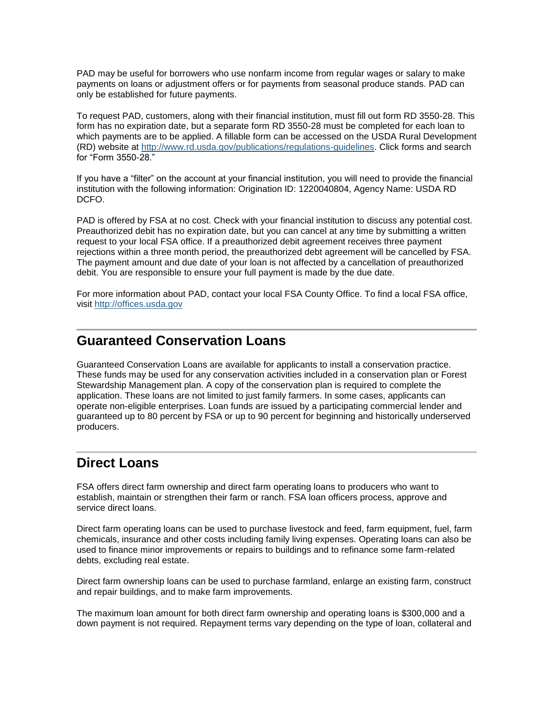PAD may be useful for borrowers who use nonfarm income from regular wages or salary to make payments on loans or adjustment offers or for payments from seasonal produce stands. PAD can only be established for future payments.

To request PAD, customers, along with their financial institution, must fill out form RD 3550-28. This form has no expiration date, but a separate form RD 3550-28 must be completed for each loan to which payments are to be applied. A fillable form can be accessed on the USDA Rural Development (RD) website at [http://www.rd.usda.gov/publications/regulations-guidelines.](http://www.rd.usda.gov/publications/regulations-guidelines) Click forms and search for "Form 3550-28."

If you have a "filter" on the account at your financial institution, you will need to provide the financial institution with the following information: Origination ID: 1220040804, Agency Name: USDA RD DCFO.

PAD is offered by FSA at no cost. Check with your financial institution to discuss any potential cost. Preauthorized debit has no expiration date, but you can cancel at any time by submitting a written request to your local FSA office. If a preauthorized debit agreement receives three payment rejections within a three month period, the preauthorized debt agreement will be cancelled by FSA. The payment amount and due date of your loan is not affected by a cancellation of preauthorized debit. You are responsible to ensure your full payment is made by the due date.

For more information about PAD, contact your local FSA County Office. To find a local FSA office, visit [http://offices.usda.gov](http://offices.sc.egov.usda.gov/locator/app)

## <span id="page-5-0"></span>**Guaranteed Conservation Loans**

Guaranteed Conservation Loans are available for applicants to install a conservation practice. These funds may be used for any conservation activities included in a conservation plan or Forest Stewardship Management plan. A copy of the conservation plan is required to complete the application. These loans are not limited to just family farmers. In some cases, applicants can operate non-eligible enterprises. Loan funds are issued by a participating commercial lender and guaranteed up to 80 percent by FSA or up to 90 percent for beginning and historically underserved producers.

## <span id="page-5-1"></span>**Direct Loans**

FSA offers direct farm ownership and direct farm operating loans to producers who want to establish, maintain or strengthen their farm or ranch. FSA loan officers process, approve and service direct loans.

Direct farm operating loans can be used to purchase livestock and feed, farm equipment, fuel, farm chemicals, insurance and other costs including family living expenses. Operating loans can also be used to finance minor improvements or repairs to buildings and to refinance some farm-related debts, excluding real estate.

Direct farm ownership loans can be used to purchase farmland, enlarge an existing farm, construct and repair buildings, and to make farm improvements.

The maximum loan amount for both direct farm ownership and operating loans is \$300,000 and a down payment is not required. Repayment terms vary depending on the type of loan, collateral and